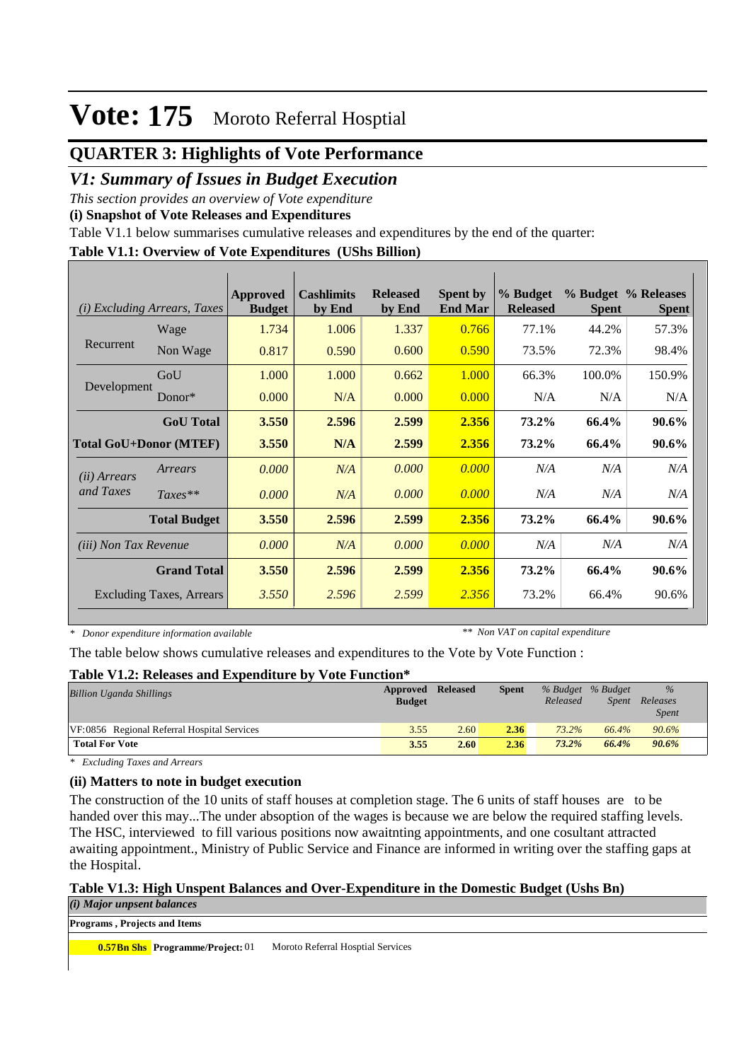### **QUARTER 3: Highlights of Vote Performance**

### *V1: Summary of Issues in Budget Execution*

*This section provides an overview of Vote expenditure* 

**(i) Snapshot of Vote Releases and Expenditures**

Table V1.1 below summarises cumulative releases and expenditures by the end of the quarter:

#### **Table V1.1: Overview of Vote Expenditures (UShs Billion)**

| (i)                          | <b>Excluding Arrears, Taxes</b> | Approved<br><b>Budget</b> | <b>Cashlimits</b><br>by End | <b>Released</b><br>by End | <b>Spent by</b><br><b>End Mar</b> | % Budget<br><b>Released</b> | <b>Spent</b> | % Budget % Releases<br><b>Spent</b> |
|------------------------------|---------------------------------|---------------------------|-----------------------------|---------------------------|-----------------------------------|-----------------------------|--------------|-------------------------------------|
|                              | Wage                            | 1.734                     | 1.006                       | 1.337                     | 0.766                             | 77.1%                       | 44.2%        | 57.3%                               |
| Recurrent                    | Non Wage                        | 0.817                     | 0.590                       | 0.600                     | 0.590                             | 73.5%                       | 72.3%        | 98.4%                               |
|                              | GoU                             | 1.000                     | 1.000                       | 0.662                     | 1.000                             | 66.3%                       | 100.0%       | 150.9%                              |
| Development                  | Donor $*$                       | 0.000                     | N/A                         | 0.000                     | 0.000                             | N/A                         | N/A          | N/A                                 |
|                              | <b>GoU</b> Total                | 3.550                     | 2.596                       | 2.599                     | 2.356                             | 73.2%                       | 66.4%        | 90.6%                               |
|                              | <b>Total GoU+Donor (MTEF)</b>   | 3.550                     | N/A                         | 2.599                     | 2.356                             | 73.2%                       | 66.4%        | 90.6%                               |
| ( <i>ii</i> ) Arrears        | Arrears                         | 0.000                     | N/A                         | 0.000                     | 0.000                             | N/A                         | N/A          | N/A                                 |
| and Taxes                    | $Taxes**$                       | 0.000                     | N/A                         | 0.000                     | 0.000                             | N/A                         | N/A          | N/A                                 |
|                              | <b>Total Budget</b>             | 3.550                     | 2.596                       | 2.599                     | 2.356                             | 73.2%                       | 66.4%        | 90.6%                               |
| <i>(iii)</i> Non Tax Revenue |                                 | 0.000                     | N/A                         | 0.000                     | 0.000                             | N/A                         | N/A          | N/A                                 |
|                              | <b>Grand Total</b>              | 3.550                     | 2.596                       | 2.599                     | 2.356                             | 73.2%                       | 66.4%        | 90.6%                               |
|                              | <b>Excluding Taxes, Arrears</b> | 3.550                     | 2.596                       | 2.599                     | 2.356                             | 73.2%                       | 66.4%        | 90.6%                               |

*\* Donor expenditure information available*

*\*\* Non VAT on capital expenditure*

The table below shows cumulative releases and expenditures to the Vote by Vote Function :

#### **Table V1.2: Releases and Expenditure by Vote Function\***

| <b>Billion Uganda Shillings</b>             | Approved<br><b>Budget</b> | Released | <b>Spent</b> | Released | % Budget % Budget<br>Spent | $\%$<br>Releases<br><i>Spent</i> |  |
|---------------------------------------------|---------------------------|----------|--------------|----------|----------------------------|----------------------------------|--|
| VF:0856 Regional Referral Hospital Services | 3.55                      | 2.60     | 2.36         | 73.2%    | 66.4%                      | 90.6%                            |  |
| <b>Total For Vote</b>                       | 3.55                      | 2.60     | 2.36         | $73.2\%$ | 66.4%                      | 90.6%                            |  |

*\* Excluding Taxes and Arrears*

### **(ii) Matters to note in budget execution**

The construction of the 10 units of staff houses at completion stage. The 6 units of staff houses are to be handed over this may...The under absoption of the wages is because we are below the required staffing levels. The HSC, interviewed to fill various positions now awaitnting appointments, and one cosultant attracted awaiting appointment., Ministry of Public Service and Finance are informed in writing over the staffing gaps at the Hospital.

### **Table V1.3: High Unspent Balances and Over-Expenditure in the Domestic Budget (Ushs Bn)**

*(i) Major unpsent balances*

**Programs , Projects and Items**

**0.57Bn Shs** Programme/Project: 01 Moroto Referral Hosptial Services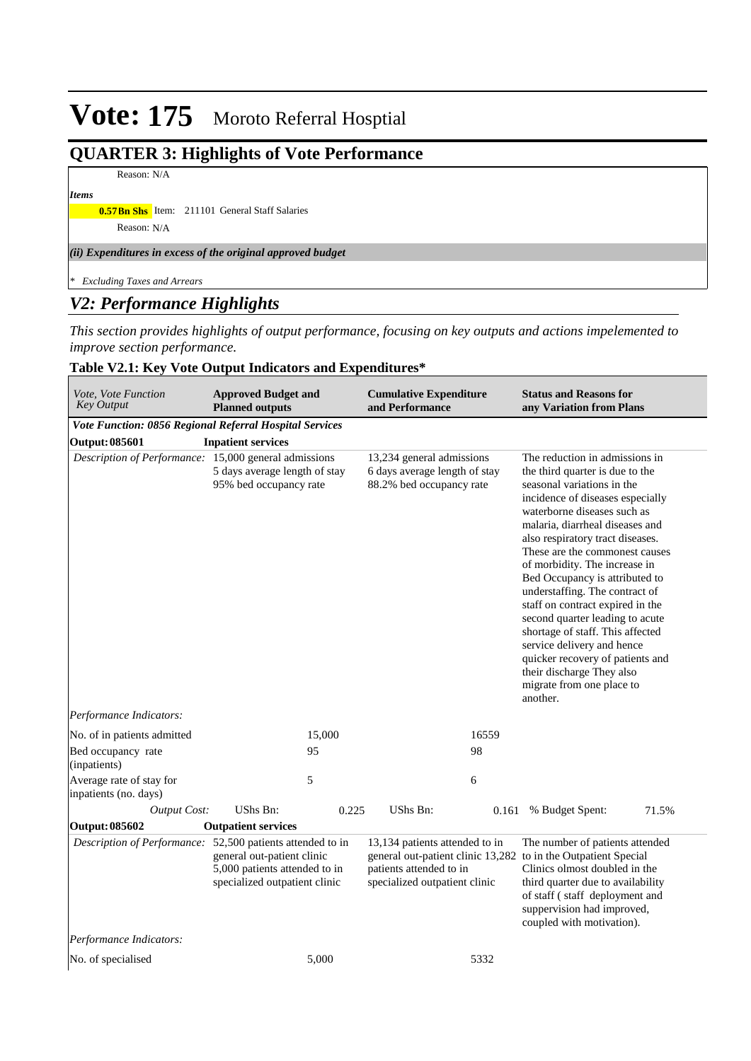### **QUARTER 3: Highlights of Vote Performance**

Reason: N/A

*Items*

**0.57 Bn Shs** Item: 211101 General Staff Salaries

Reason: N/A

#### *(ii) Expenditures in excess of the original approved budget*

*\* Excluding Taxes and Arrears*

### *V2: Performance Highlights*

*This section provides highlights of output performance, focusing on key outputs and actions impelemented to improve section performance.*

### **Table V2.1: Key Vote Output Indicators and Expenditures\***

| Vote, Vote Function<br><b>Key Output</b>                   | <b>Approved Budget and</b><br><b>Planned outputs</b>                                         |        | <b>Cumulative Expenditure</b><br>and Performance                                           |       | <b>Status and Reasons for</b><br>any Variation from Plans                                                                                                                                                                                                                                                                                                                                                                                                                                                                                                                                                                           |       |  |
|------------------------------------------------------------|----------------------------------------------------------------------------------------------|--------|--------------------------------------------------------------------------------------------|-------|-------------------------------------------------------------------------------------------------------------------------------------------------------------------------------------------------------------------------------------------------------------------------------------------------------------------------------------------------------------------------------------------------------------------------------------------------------------------------------------------------------------------------------------------------------------------------------------------------------------------------------------|-------|--|
| Vote Function: 0856 Regional Referral Hospital Services    |                                                                                              |        |                                                                                            |       |                                                                                                                                                                                                                                                                                                                                                                                                                                                                                                                                                                                                                                     |       |  |
| <b>Output: 085601</b>                                      | <b>Inpatient services</b>                                                                    |        |                                                                                            |       |                                                                                                                                                                                                                                                                                                                                                                                                                                                                                                                                                                                                                                     |       |  |
| Description of Performance: 15,000 general admissions      | 5 days average length of stay<br>95% bed occupancy rate                                      |        | 13,234 general admissions<br>6 days average length of stay<br>88.2% bed occupancy rate     |       | The reduction in admissions in<br>the third quarter is due to the<br>seasonal variations in the<br>incidence of diseases especially<br>waterborne diseases such as<br>malaria, diarrheal diseases and<br>also respiratory tract diseases.<br>These are the commonest causes<br>of morbidity. The increase in<br>Bed Occupancy is attributed to<br>understaffing. The contract of<br>staff on contract expired in the<br>second quarter leading to acute<br>shortage of staff. This affected<br>service delivery and hence<br>quicker recovery of patients and<br>their discharge They also<br>migrate from one place to<br>another. |       |  |
| Performance Indicators:                                    |                                                                                              |        |                                                                                            |       |                                                                                                                                                                                                                                                                                                                                                                                                                                                                                                                                                                                                                                     |       |  |
| No. of in patients admitted                                |                                                                                              | 15,000 |                                                                                            | 16559 |                                                                                                                                                                                                                                                                                                                                                                                                                                                                                                                                                                                                                                     |       |  |
| Bed occupancy rate<br>(inpatients)                         |                                                                                              | 95     |                                                                                            | 98    |                                                                                                                                                                                                                                                                                                                                                                                                                                                                                                                                                                                                                                     |       |  |
| Average rate of stay for<br>inpatients (no. days)          |                                                                                              | 5      |                                                                                            | 6     |                                                                                                                                                                                                                                                                                                                                                                                                                                                                                                                                                                                                                                     |       |  |
| <b>Output Cost:</b>                                        | UShs Bn:                                                                                     | 0.225  | UShs Bn:                                                                                   | 0.161 | % Budget Spent:                                                                                                                                                                                                                                                                                                                                                                                                                                                                                                                                                                                                                     | 71.5% |  |
| <b>Output: 085602</b>                                      | <b>Outpatient services</b>                                                                   |        |                                                                                            |       |                                                                                                                                                                                                                                                                                                                                                                                                                                                                                                                                                                                                                                     |       |  |
| Description of Performance: 52,500 patients attended to in | general out-patient clinic<br>5,000 patients attended to in<br>specialized outpatient clinic |        | 13,134 patients attended to in<br>patients attended to in<br>specialized outpatient clinic |       | The number of patients attended<br>general out-patient clinic 13,282 to in the Outpatient Special<br>Clinics olmost doubled in the<br>third quarter due to availability<br>of staff (staff deployment and<br>suppervision had improved,<br>coupled with motivation).                                                                                                                                                                                                                                                                                                                                                                |       |  |
| Performance Indicators:                                    |                                                                                              |        |                                                                                            |       |                                                                                                                                                                                                                                                                                                                                                                                                                                                                                                                                                                                                                                     |       |  |
| No. of specialised                                         |                                                                                              | 5,000  |                                                                                            | 5332  |                                                                                                                                                                                                                                                                                                                                                                                                                                                                                                                                                                                                                                     |       |  |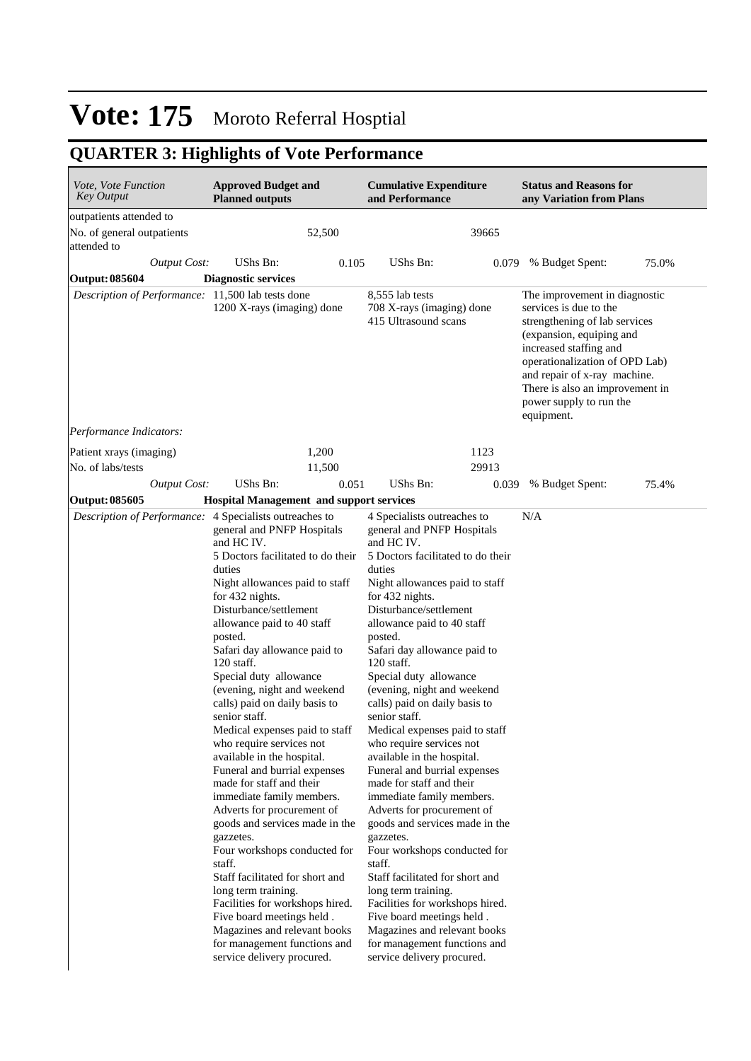## **QUARTER 3: Highlights of Vote Performance**

| <i>Vote, Vote Function</i><br><b>Key Output</b>         | <b>Approved Budget and</b><br><b>Planned outputs</b>                                                                                                                                                                                                                                                                                                                                                                                                                                                                                                                                                                                                                                                                                                                                                                                                                                                           |        | <b>Cumulative Expenditure</b><br>and Performance                                                                                                                                                                                                                                                                                                                                                                                                                                                                                                                                                                                                                                                                                                                                                                                                                                                                                              |       | <b>Status and Reasons for</b><br>any Variation from Plans                                                                                                                                                                                                                                    |       |
|---------------------------------------------------------|----------------------------------------------------------------------------------------------------------------------------------------------------------------------------------------------------------------------------------------------------------------------------------------------------------------------------------------------------------------------------------------------------------------------------------------------------------------------------------------------------------------------------------------------------------------------------------------------------------------------------------------------------------------------------------------------------------------------------------------------------------------------------------------------------------------------------------------------------------------------------------------------------------------|--------|-----------------------------------------------------------------------------------------------------------------------------------------------------------------------------------------------------------------------------------------------------------------------------------------------------------------------------------------------------------------------------------------------------------------------------------------------------------------------------------------------------------------------------------------------------------------------------------------------------------------------------------------------------------------------------------------------------------------------------------------------------------------------------------------------------------------------------------------------------------------------------------------------------------------------------------------------|-------|----------------------------------------------------------------------------------------------------------------------------------------------------------------------------------------------------------------------------------------------------------------------------------------------|-------|
| outpatients attended to                                 |                                                                                                                                                                                                                                                                                                                                                                                                                                                                                                                                                                                                                                                                                                                                                                                                                                                                                                                |        |                                                                                                                                                                                                                                                                                                                                                                                                                                                                                                                                                                                                                                                                                                                                                                                                                                                                                                                                               |       |                                                                                                                                                                                                                                                                                              |       |
| No. of general outpatients<br>attended to               |                                                                                                                                                                                                                                                                                                                                                                                                                                                                                                                                                                                                                                                                                                                                                                                                                                                                                                                | 52,500 |                                                                                                                                                                                                                                                                                                                                                                                                                                                                                                                                                                                                                                                                                                                                                                                                                                                                                                                                               | 39665 |                                                                                                                                                                                                                                                                                              |       |
| <b>Output Cost:</b>                                     | UShs Bn:                                                                                                                                                                                                                                                                                                                                                                                                                                                                                                                                                                                                                                                                                                                                                                                                                                                                                                       | 0.105  | UShs Bn:                                                                                                                                                                                                                                                                                                                                                                                                                                                                                                                                                                                                                                                                                                                                                                                                                                                                                                                                      |       | 0.079 % Budget Spent:                                                                                                                                                                                                                                                                        | 75.0% |
| <b>Output: 085604</b>                                   | <b>Diagnostic services</b>                                                                                                                                                                                                                                                                                                                                                                                                                                                                                                                                                                                                                                                                                                                                                                                                                                                                                     |        |                                                                                                                                                                                                                                                                                                                                                                                                                                                                                                                                                                                                                                                                                                                                                                                                                                                                                                                                               |       |                                                                                                                                                                                                                                                                                              |       |
| Description of Performance: 11,500 lab tests done       | 1200 X-rays (imaging) done                                                                                                                                                                                                                                                                                                                                                                                                                                                                                                                                                                                                                                                                                                                                                                                                                                                                                     |        | 8,555 lab tests<br>708 X-rays (imaging) done<br>415 Ultrasound scans                                                                                                                                                                                                                                                                                                                                                                                                                                                                                                                                                                                                                                                                                                                                                                                                                                                                          |       | The improvement in diagnostic<br>services is due to the<br>strengthening of lab services<br>(expansion, equiping and<br>increased staffing and<br>operationalization of OPD Lab)<br>and repair of x-ray machine.<br>There is also an improvement in<br>power supply to run the<br>equipment. |       |
| Performance Indicators:                                 |                                                                                                                                                                                                                                                                                                                                                                                                                                                                                                                                                                                                                                                                                                                                                                                                                                                                                                                |        |                                                                                                                                                                                                                                                                                                                                                                                                                                                                                                                                                                                                                                                                                                                                                                                                                                                                                                                                               |       |                                                                                                                                                                                                                                                                                              |       |
| Patient xrays (imaging)                                 |                                                                                                                                                                                                                                                                                                                                                                                                                                                                                                                                                                                                                                                                                                                                                                                                                                                                                                                | 1,200  |                                                                                                                                                                                                                                                                                                                                                                                                                                                                                                                                                                                                                                                                                                                                                                                                                                                                                                                                               | 1123  |                                                                                                                                                                                                                                                                                              |       |
| No. of labs/tests                                       |                                                                                                                                                                                                                                                                                                                                                                                                                                                                                                                                                                                                                                                                                                                                                                                                                                                                                                                | 11,500 |                                                                                                                                                                                                                                                                                                                                                                                                                                                                                                                                                                                                                                                                                                                                                                                                                                                                                                                                               | 29913 |                                                                                                                                                                                                                                                                                              |       |
| <b>Output Cost:</b>                                     | UShs Bn:                                                                                                                                                                                                                                                                                                                                                                                                                                                                                                                                                                                                                                                                                                                                                                                                                                                                                                       | 0.051  | <b>UShs Bn:</b>                                                                                                                                                                                                                                                                                                                                                                                                                                                                                                                                                                                                                                                                                                                                                                                                                                                                                                                               | 0.039 | % Budget Spent:                                                                                                                                                                                                                                                                              | 75.4% |
| <b>Output: 085605</b>                                   | <b>Hospital Management and support services</b>                                                                                                                                                                                                                                                                                                                                                                                                                                                                                                                                                                                                                                                                                                                                                                                                                                                                |        |                                                                                                                                                                                                                                                                                                                                                                                                                                                                                                                                                                                                                                                                                                                                                                                                                                                                                                                                               |       |                                                                                                                                                                                                                                                                                              |       |
| Description of Performance: 4 Specialists outreaches to | general and PNFP Hospitals<br>and HC IV.<br>5 Doctors facilitated to do their<br>duties<br>Night allowances paid to staff<br>for 432 nights.<br>Disturbance/settlement<br>allowance paid to 40 staff<br>posted.<br>Safari day allowance paid to<br>$120$ staff.<br>Special duty allowance<br>(evening, night and weekend<br>calls) paid on daily basis to<br>senior staff.<br>Medical expenses paid to staff<br>who require services not<br>available in the hospital.<br>Funeral and burrial expenses<br>made for staff and their<br>immediate family members.<br>Adverts for procurement of<br>goods and services made in the<br>gazzetes.<br>Four workshops conducted for<br>staff.<br>Staff facilitated for short and<br>long term training.<br>Facilities for workshops hired.<br>Five board meetings held.<br>Magazines and relevant books<br>for management functions and<br>service delivery procured. |        | 4 Specialists outreaches to<br>general and PNFP Hospitals<br>and HC IV.<br>5 Doctors facilitated to do their<br>duties<br>Night allowances paid to staff<br>for 432 nights.<br>Disturbance/settlement<br>allowance paid to 40 staff<br>posted.<br>Safari day allowance paid to<br>$120$ staff.<br>Special duty allowance<br>(evening, night and weekend<br>calls) paid on daily basis to<br>senior staff.<br>Medical expenses paid to staff<br>who require services not<br>available in the hospital.<br>Funeral and burrial expenses<br>made for staff and their<br>immediate family members.<br>Adverts for procurement of<br>goods and services made in the<br>gazzetes.<br>Four workshops conducted for<br>staff.<br>Staff facilitated for short and<br>long term training.<br>Facilities for workshops hired.<br>Five board meetings held.<br>Magazines and relevant books<br>for management functions and<br>service delivery procured. |       | N/A                                                                                                                                                                                                                                                                                          |       |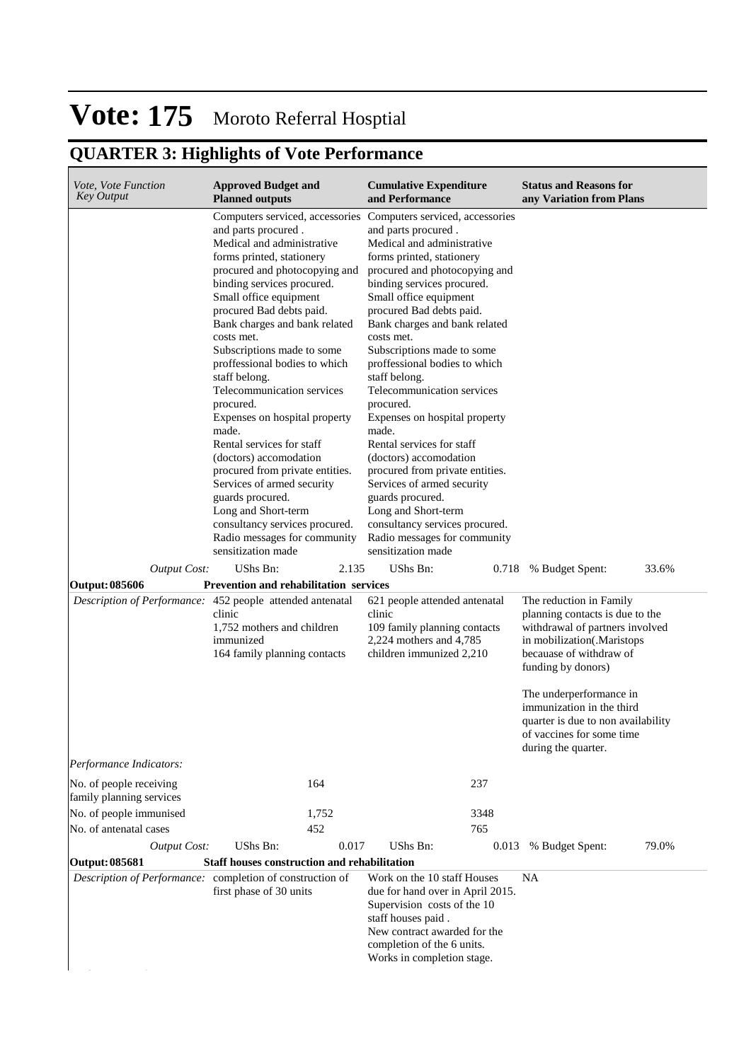## **QUARTER 3: Highlights of Vote Performance**

| Vote, Vote Function<br><b>Key Output</b>            | <b>Approved Budget and</b><br><b>Planned outputs</b>                                                                                                                             | <b>Cumulative Expenditure</b><br>and Performance                                                                                                                                                                 | <b>Status and Reasons for</b><br>any Variation from Plans                                                                                                                    |
|-----------------------------------------------------|----------------------------------------------------------------------------------------------------------------------------------------------------------------------------------|------------------------------------------------------------------------------------------------------------------------------------------------------------------------------------------------------------------|------------------------------------------------------------------------------------------------------------------------------------------------------------------------------|
|                                                     | Computers serviced, accessories<br>and parts procured.<br>Medical and administrative<br>forms printed, stationery<br>procured and photocopying and<br>binding services procured. | Computers serviced, accessories<br>and parts procured.<br>Medical and administrative<br>forms printed, stationery<br>procured and photocopying and<br>binding services procured.                                 |                                                                                                                                                                              |
|                                                     | Small office equipment<br>procured Bad debts paid.<br>Bank charges and bank related<br>costs met.<br>Subscriptions made to some<br>proffessional bodies to which                 | Small office equipment<br>procured Bad debts paid.<br>Bank charges and bank related<br>costs met.<br>Subscriptions made to some<br>proffessional bodies to which                                                 |                                                                                                                                                                              |
|                                                     | staff belong.<br>Telecommunication services<br>procured.<br>Expenses on hospital property<br>made.                                                                               | staff belong.<br>Telecommunication services<br>procured.<br>Expenses on hospital property<br>made.                                                                                                               |                                                                                                                                                                              |
|                                                     | Rental services for staff<br>(doctors) accomodation<br>procured from private entities.<br>Services of armed security<br>guards procured.<br>Long and Short-term                  | Rental services for staff<br>(doctors) accomodation<br>procured from private entities.<br>Services of armed security<br>guards procured.<br>Long and Short-term                                                  |                                                                                                                                                                              |
|                                                     | consultancy services procured.<br>Radio messages for community<br>sensitization made                                                                                             | consultancy services procured.<br>Radio messages for community<br>sensitization made                                                                                                                             |                                                                                                                                                                              |
| <b>Output Cost:</b>                                 | 2.135<br>UShs Bn:                                                                                                                                                                | UShs Bn:<br>0.718                                                                                                                                                                                                | 33.6%<br>% Budget Spent:                                                                                                                                                     |
| Output: 085606                                      | Prevention and rehabilitation services                                                                                                                                           |                                                                                                                                                                                                                  |                                                                                                                                                                              |
|                                                     | Description of Performance: 452 people attended antenatal<br>clinic<br>1,752 mothers and children<br>immunized<br>164 family planning contacts                                   | 621 people attended antenatal<br>clinic<br>109 family planning contacts<br>2,224 mothers and 4,785<br>children immunized 2,210                                                                                   | The reduction in Family<br>planning contacts is due to the<br>withdrawal of partners involved<br>in mobilization(.Maristops<br>becauase of withdraw of<br>funding by donors) |
|                                                     |                                                                                                                                                                                  |                                                                                                                                                                                                                  | The underperformance in<br>immunization in the third<br>quarter is due to non availability<br>of vaccines for some time<br>during the quarter.                               |
| Performance Indicators:                             |                                                                                                                                                                                  |                                                                                                                                                                                                                  |                                                                                                                                                                              |
| No. of people receiving<br>family planning services | 164                                                                                                                                                                              | 237                                                                                                                                                                                                              |                                                                                                                                                                              |
| No. of people immunised                             | 1,752                                                                                                                                                                            | 3348                                                                                                                                                                                                             |                                                                                                                                                                              |
| No. of antenatal cases                              | 452                                                                                                                                                                              | 765                                                                                                                                                                                                              |                                                                                                                                                                              |
| <b>Output Cost:</b>                                 | 0.017<br>UShs Bn:                                                                                                                                                                | UShs Bn:<br>0.013                                                                                                                                                                                                | 79.0%<br>% Budget Spent:                                                                                                                                                     |
| Output: 085681                                      | Staff houses construction and rehabilitation                                                                                                                                     |                                                                                                                                                                                                                  |                                                                                                                                                                              |
|                                                     | Description of Performance: completion of construction of<br>first phase of 30 units                                                                                             | Work on the 10 staff Houses<br>due for hand over in April 2015.<br>Supervision costs of the 10<br>staff houses paid.<br>New contract awarded for the<br>completion of the 6 units.<br>Works in completion stage. | <b>NA</b>                                                                                                                                                                    |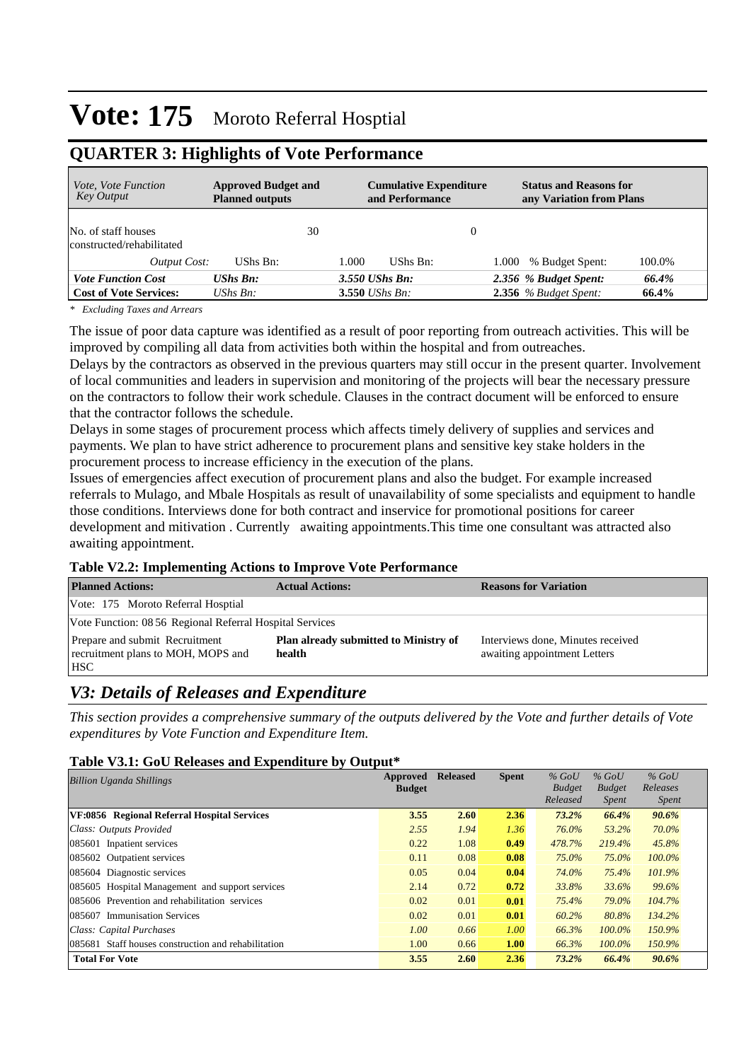| <i>Vote, Vote Function</i><br>Key Output         | <b>Approved Budget and</b><br><b>Planned outputs</b> | <b>Cumulative Expenditure</b><br>and Performance | <b>Status and Reasons for</b><br>any Variation from Plans |
|--------------------------------------------------|------------------------------------------------------|--------------------------------------------------|-----------------------------------------------------------|
| No. of staff houses<br>constructed/rehabilitated | 30                                                   |                                                  |                                                           |
| Output Cost:                                     | UShs Bn:                                             | 1.000<br>UShs Bn:                                | % Budget Spent:<br>100.0%<br>1.000                        |
| <b>Vote Function Cost</b>                        | $UShs$ $Bn$ :                                        | $3.550$ UShs Bn:                                 | 2.356 % Budget Spent:<br>66.4%                            |
| <b>Cost of Vote Services:</b>                    | UShs Bn:                                             | 3.550 <i>UShs Bn</i> :                           | $2.356$ % Budget Spent:<br>66.4%                          |

### **QUARTER 3: Highlights of Vote Performance**

*\* Excluding Taxes and Arrears*

The issue of poor data capture was identified as a result of poor reporting from outreach activities. This will be improved by compiling all data from activities both within the hospital and from outreaches.

Delays by the contractors as observed in the previous quarters may still occur in the present quarter. Involvement of local communities and leaders in supervision and monitoring of the projects will bear the necessary pressure on the contractors to follow their work schedule. Clauses in the contract document will be enforced to ensure that the contractor follows the schedule.

Delays in some stages of procurement process which affects timely delivery of supplies and services and payments. We plan to have strict adherence to procurement plans and sensitive key stake holders in the procurement process to increase efficiency in the execution of the plans.

Issues of emergencies affect execution of procurement plans and also the budget. For example increased referrals to Mulago, and Mbale Hospitals as result of unavailability of some specialists and equipment to handle those conditions. Interviews done for both contract and inservice for promotional positions for career development and mitivation . Currently awaiting appointments.This time one consultant was attracted also awaiting appointment.

### **Table V2.2: Implementing Actions to Improve Vote Performance**

| <b>Planned Actions:</b>                                                            | <b>Actual Actions:</b>                                 | <b>Reasons for Variation</b>                                      |
|------------------------------------------------------------------------------------|--------------------------------------------------------|-------------------------------------------------------------------|
| Vote: 175 Moroto Referral Hosptial                                                 |                                                        |                                                                   |
| Vote Function: 08 56 Regional Referral Hospital Services                           |                                                        |                                                                   |
| Prepare and submit Recruitment<br>recruitment plans to MOH, MOPS and<br><b>HSC</b> | <b>Plan already submitted to Ministry of</b><br>health | Interviews done, Minutes received<br>awaiting appointment Letters |

### *V3: Details of Releases and Expenditure*

*This section provides a comprehensive summary of the outputs delivered by the Vote and further details of Vote expenditures by Vote Function and Expenditure Item.*

#### **Table V3.1: GoU Releases and Expenditure by Output\***

| <b>Billion Uganda Shillings</b>                     | Approved      | <b>Released</b> | <b>Spent</b> | $%$ GoU       | $%$ GoU       | $%$ GoU   |
|-----------------------------------------------------|---------------|-----------------|--------------|---------------|---------------|-----------|
|                                                     | <b>Budget</b> |                 |              | <b>Budget</b> | <b>Budget</b> | Releases  |
|                                                     |               |                 |              | Released      | <i>Spent</i>  | Spent     |
| VF:0856 Regional Referral Hospital Services         | 3.55          | 2.60            | 2.36         | 73.2%         | 66.4%         | 90.6%     |
| Class: Outputs Provided                             | 2.55          | 1.94            | 1.36         | 76.0%         | 53.2%         | 70.0%     |
| 085601 Inpatient services                           | 0.22          | 1.08            | 0.49         | 478.7%        | 219.4%        | 45.8%     |
| 085602 Outpatient services                          | 0.11          | 0.08            | 0.08         | 75.0%         | 75.0%         | $100.0\%$ |
| 085604 Diagnostic services                          | 0.05          | 0.04            | 0.04         | 74.0%         | 75.4%         | 101.9%    |
| 085605 Hospital Management and support services     | 2.14          | 0.72            | 0.72         | 33.8%         | 33.6%         | 99.6%     |
| 085606 Prevention and rehabilitation services       | 0.02          | 0.01            | 0.01         | 75.4%         | 79.0%         | 104.7%    |
| <b>Immunisation Services</b><br>085607              | 0.02          | 0.01            | 0.01         | 60.2%         | 80.8%         | 134.2%    |
| Class: Capital Purchases                            | 1.00          | 0.66            | 1.00         | 66.3%         | 100.0%        | 150.9%    |
| 085681 Staff houses construction and rehabilitation | 1.00          | 0.66            | 1.00         | 66.3%         | 100.0%        | 150.9%    |
| <b>Total For Vote</b>                               | 3.55          | 2.60            | 2.36         | 73.2%         | 66.4%         | 90.6%     |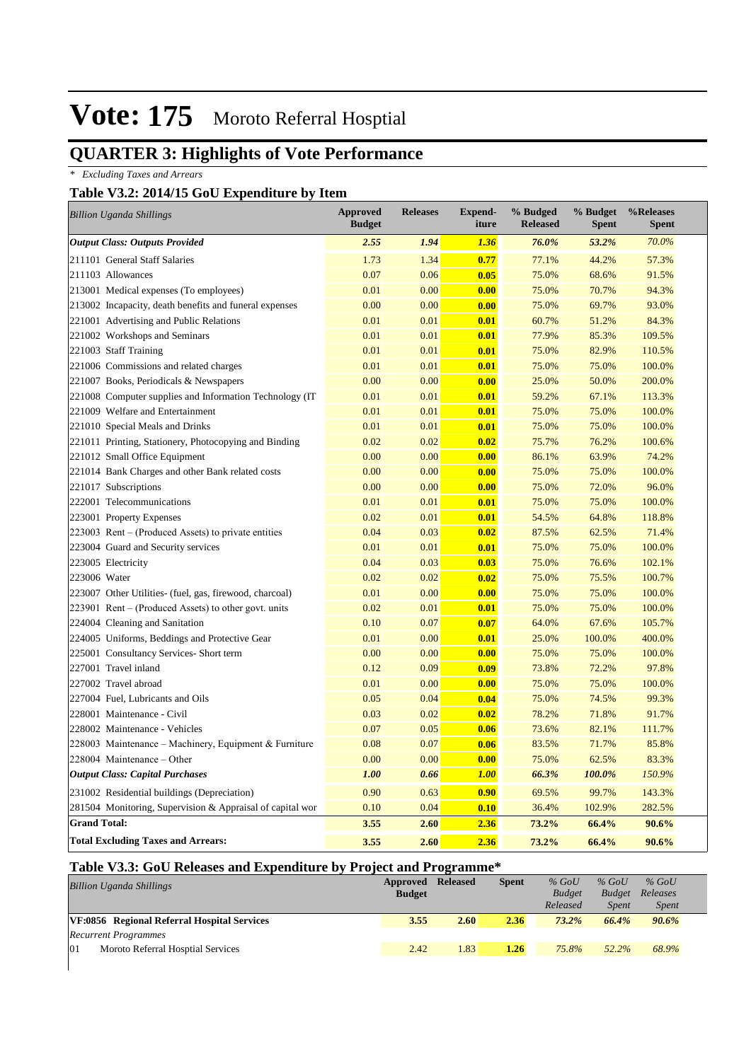## **QUARTER 3: Highlights of Vote Performance**

*\* Excluding Taxes and Arrears*

### **Table V3.2: 2014/15 GoU Expenditure by Item**

| <b>Billion Uganda Shillings</b>                           | <b>Approved</b><br><b>Budget</b> | <b>Releases</b> | <b>Expend-</b><br>iture | % Budged<br><b>Released</b> | % Budget<br><b>Spent</b> | %Releases<br><b>Spent</b> |
|-----------------------------------------------------------|----------------------------------|-----------------|-------------------------|-----------------------------|--------------------------|---------------------------|
| <b>Output Class: Outputs Provided</b>                     | 2.55                             | 1.94            | 1.36                    | 76.0%                       | 53.2%                    | 70.0%                     |
| 211101 General Staff Salaries                             | 1.73                             | 1.34            | 0.77                    | 77.1%                       | 44.2%                    | 57.3%                     |
| 211103 Allowances                                         | 0.07                             | 0.06            | 0.05                    | 75.0%                       | 68.6%                    | 91.5%                     |
| 213001 Medical expenses (To employees)                    | 0.01                             | 0.00            | 0.00                    | 75.0%                       | 70.7%                    | 94.3%                     |
| 213002 Incapacity, death benefits and funeral expenses    | 0.00                             | 0.00            | 0.00                    | 75.0%                       | 69.7%                    | 93.0%                     |
| 221001 Advertising and Public Relations                   | 0.01                             | 0.01            | 0.01                    | 60.7%                       | 51.2%                    | 84.3%                     |
| 221002 Workshops and Seminars                             | 0.01                             | 0.01            | 0.01                    | 77.9%                       | 85.3%                    | 109.5%                    |
| 221003 Staff Training                                     | 0.01                             | 0.01            | 0.01                    | 75.0%                       | 82.9%                    | 110.5%                    |
| 221006 Commissions and related charges                    | 0.01                             | 0.01            | 0.01                    | 75.0%                       | 75.0%                    | 100.0%                    |
| 221007 Books, Periodicals & Newspapers                    | 0.00                             | 0.00            | 0.00                    | 25.0%                       | 50.0%                    | 200.0%                    |
| 221008 Computer supplies and Information Technology (IT)  | 0.01                             | 0.01            | 0.01                    | 59.2%                       | 67.1%                    | 113.3%                    |
| 221009 Welfare and Entertainment                          | 0.01                             | 0.01            | 0.01                    | 75.0%                       | 75.0%                    | 100.0%                    |
| 221010 Special Meals and Drinks                           | 0.01                             | 0.01            | 0.01                    | 75.0%                       | 75.0%                    | 100.0%                    |
| 221011 Printing, Stationery, Photocopying and Binding     | 0.02                             | 0.02            | 0.02                    | 75.7%                       | 76.2%                    | 100.6%                    |
| 221012 Small Office Equipment                             | 0.00                             | 0.00            | 0.00                    | 86.1%                       | 63.9%                    | 74.2%                     |
| 221014 Bank Charges and other Bank related costs          | 0.00                             | 0.00            | 0.00                    | 75.0%                       | 75.0%                    | 100.0%                    |
| 221017 Subscriptions                                      | 0.00                             | 0.00            | 0.00                    | 75.0%                       | 72.0%                    | 96.0%                     |
| 222001 Telecommunications                                 | 0.01                             | 0.01            | 0.01                    | 75.0%                       | 75.0%                    | 100.0%                    |
| 223001 Property Expenses                                  | 0.02                             | 0.01            | 0.01                    | 54.5%                       | 64.8%                    | 118.8%                    |
| 223003 Rent – (Produced Assets) to private entities       | 0.04                             | 0.03            | 0.02                    | 87.5%                       | 62.5%                    | 71.4%                     |
| 223004 Guard and Security services                        | 0.01                             | 0.01            | 0.01                    | 75.0%                       | 75.0%                    | 100.0%                    |
| 223005 Electricity                                        | 0.04                             | 0.03            | 0.03                    | 75.0%                       | 76.6%                    | 102.1%                    |
| 223006 Water                                              | 0.02                             | 0.02            | 0.02                    | 75.0%                       | 75.5%                    | 100.7%                    |
| 223007 Other Utilities- (fuel, gas, firewood, charcoal)   | 0.01                             | 0.00            | 0.00                    | 75.0%                       | 75.0%                    | 100.0%                    |
| 223901 Rent – (Produced Assets) to other govt. units      | 0.02                             | 0.01            | 0.01                    | 75.0%                       | 75.0%                    | 100.0%                    |
| 224004 Cleaning and Sanitation                            | 0.10                             | 0.07            | 0.07                    | 64.0%                       | 67.6%                    | 105.7%                    |
| 224005 Uniforms, Beddings and Protective Gear             | 0.01                             | 0.00            | 0.01                    | 25.0%                       | 100.0%                   | 400.0%                    |
| 225001 Consultancy Services- Short term                   | 0.00                             | 0.00            | 0.00                    | 75.0%                       | 75.0%                    | 100.0%                    |
| 227001 Travel inland                                      | 0.12                             | 0.09            | 0.09                    | 73.8%                       | 72.2%                    | 97.8%                     |
| 227002 Travel abroad                                      | 0.01                             | 0.00            | 0.00                    | 75.0%                       | 75.0%                    | 100.0%                    |
| 227004 Fuel, Lubricants and Oils                          | 0.05                             | 0.04            | 0.04                    | 75.0%                       | 74.5%                    | 99.3%                     |
| 228001 Maintenance - Civil                                | 0.03                             | 0.02            | 0.02                    | 78.2%                       | 71.8%                    | 91.7%                     |
| 228002 Maintenance - Vehicles                             | 0.07                             | 0.05            | 0.06                    | 73.6%                       | 82.1%                    | 111.7%                    |
| 228003 Maintenance – Machinery, Equipment & Furniture     | 0.08                             | 0.07            | 0.06                    | 83.5%                       | 71.7%                    | 85.8%                     |
| 228004 Maintenance - Other                                | 0.00                             | 0.00            | 0.00                    | 75.0%                       | 62.5%                    | 83.3%                     |
| <b>Output Class: Capital Purchases</b>                    | 1.00                             | 0.66            | 1.00                    | 66.3%                       | 100.0%                   | 150.9%                    |
| 231002 Residential buildings (Depreciation)               | 0.90                             | 0.63            | 0.90                    | 69.5%                       | 99.7%                    | 143.3%                    |
| 281504 Monitoring, Supervision & Appraisal of capital wor | 0.10                             | 0.04            | 0.10                    | 36.4%                       | 102.9%                   | 282.5%                    |
| <b>Grand Total:</b>                                       | 3.55                             | 2.60            | 2.36                    | 73.2%                       | 66.4%                    | $90.6\%$                  |
| <b>Total Excluding Taxes and Arrears:</b>                 | 3.55                             | 2.60            | 2.36                    | 73.2%                       | 66.4%                    | 90.6%                     |

### **Table V3.3: GoU Releases and Expenditure by Project and Programme\***

| <b>Billion Uganda Shillings</b>             | Approved      | <b>Released</b> | <b>Spent</b> | $%$ GoU       | $%$ GoU       | $%$ GoU      |
|---------------------------------------------|---------------|-----------------|--------------|---------------|---------------|--------------|
|                                             | <b>Budget</b> |                 |              | <b>Budget</b> | <b>Budget</b> | Releases     |
|                                             |               |                 |              | Released      | <i>Spent</i>  | <i>Spent</i> |
| VF:0856 Regional Referral Hospital Services | 3.55          | 2.60            | 2.36         | 73.2%         | 66.4%         | 90.6%        |
| <b>Recurrent Programmes</b>                 |               |                 |              |               |               |              |
| 101<br>Moroto Referral Hosptial Services    | 2.42          | 1.83            | 1.26         | 75.8%         | 52.2%         | 68.9%        |
|                                             |               |                 |              |               |               |              |